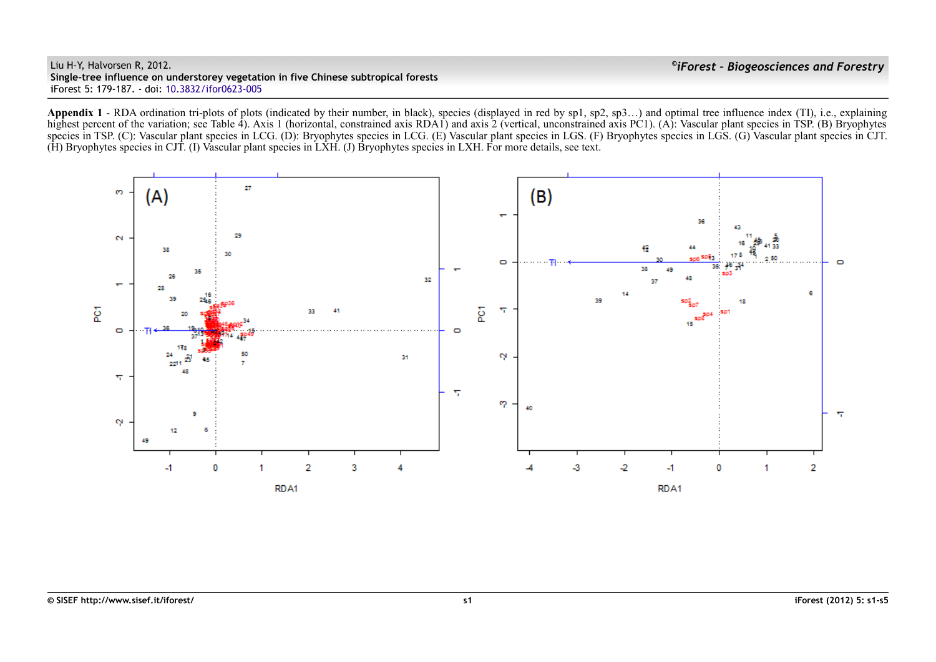Liu H-Y, Halvorsen R, 2012. **Single-tree influence on understorey vegetation in five Chinese subtropical forests i**Forest 5: 179-187. - doi: [10.3832/ifor0623-005](http://dx.doi.org/10.3832/ifor0623-005)

Appendix 1 - RDA ordination tri-plots of plots (indicated by their number, in black), species (displayed in red by sp1, sp2, sp3...) and optimal tree influence index (TI), i.e., explaining highest percent of the variation; see Table 4). Axis 1 (horizontal, constrained axis RDA1) and axis 2 (vertical, unconstrained axis PC1). (A): Vascular plant species in TSP. (B) Bryophytes species in TSP. (C): Vascular plant species in LCG. (D): Bryophytes species in LCG. (E) Vascular plant species in LGS. (F) Bryophytes species in LGS. (G) Vascular plant species in CJT. (H) Bryophytes species in CJT. (I) Vascular plant species in LXH. (J) Bryophytes species in LXH. For more details, see text.

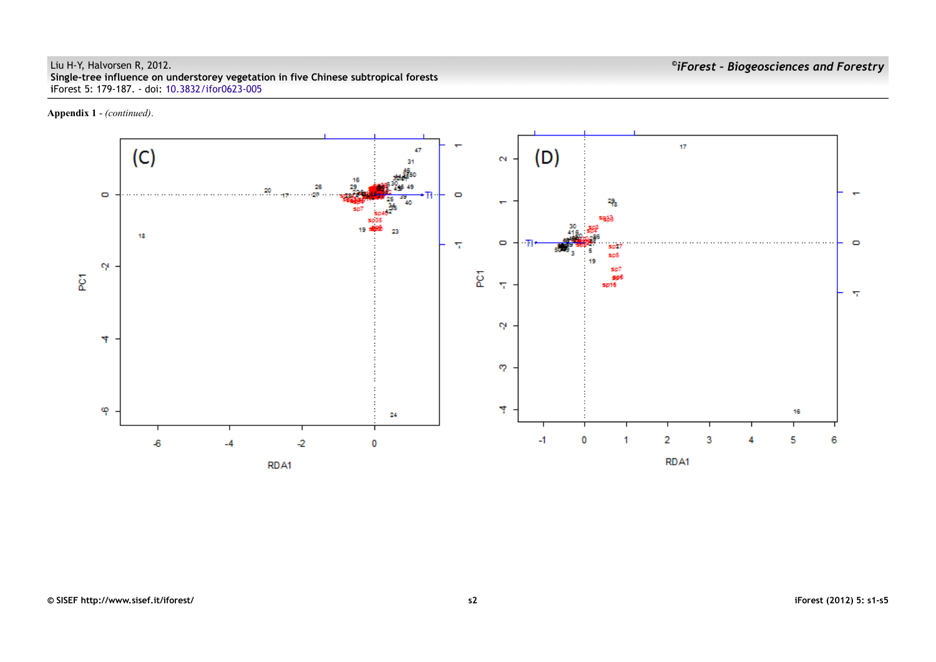## Liu H-Y, Halvorsen R, 2012. **Single-tree influence on understorey vegetation in five Chinese subtropical forests i**Forest 5: 179-187. - doi: [10.3832/ifor0623-005](http://dx.doi.org/10.3832/ifor0623-005)

**Appendix 1** - *(continued)*.

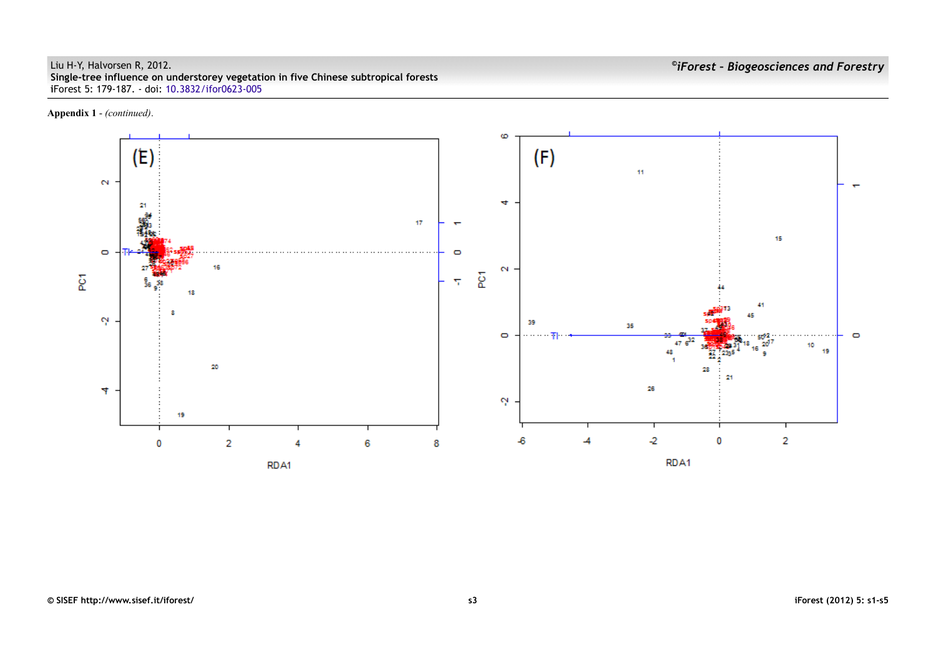**Appendix 1** - *(continued)*.

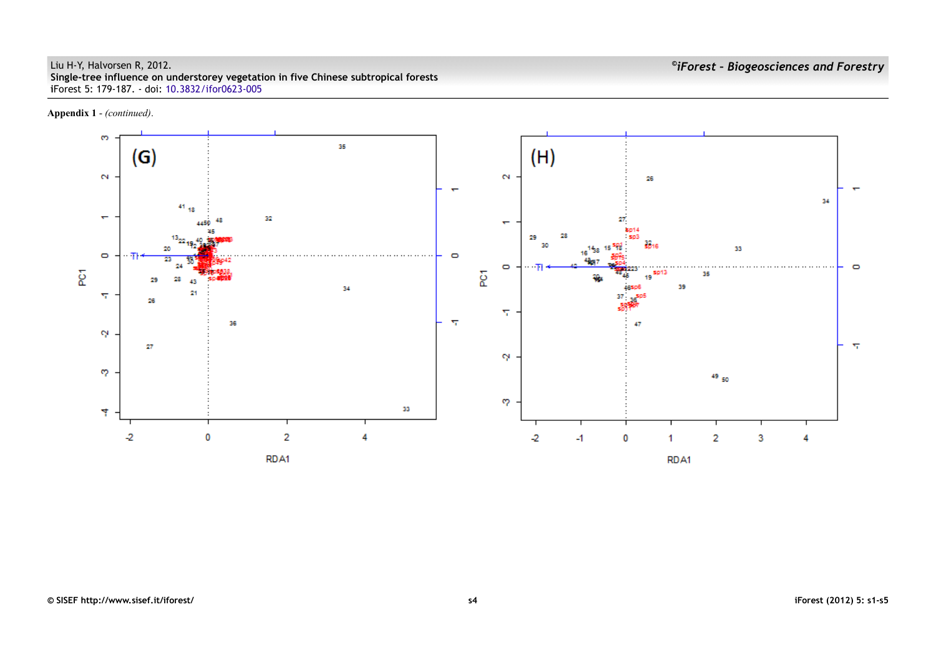